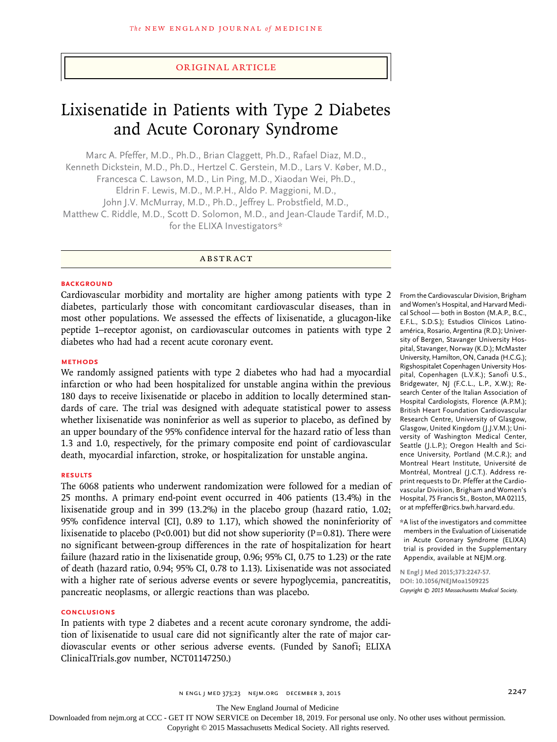# Original Article

# Lixisenatide in Patients with Type 2 Diabetes and Acute Coronary Syndrome

Marc A. Pfeffer, M.D., Ph.D., Brian Claggett, Ph.D., Rafael Diaz, M.D., Kenneth Dickstein, M.D., Ph.D., Hertzel C. Gerstein, M.D., Lars V. Køber, M.D., Francesca C. Lawson, M.D., Lin Ping, M.D., Xiaodan Wei, Ph.D., Eldrin F. Lewis, M.D., M.P.H., Aldo P. Maggioni, M.D., John J.V. McMurray, M.D., Ph.D., Jeffrey L. Probstfield, M.D., Matthew C. Riddle, M.D., Scott D. Solomon, M.D., and Jean-Claude Tardif, M.D., for the ELIXA Investigators\*

ABSTRACT

### **BACKGROUND**

Cardiovascular morbidity and mortality are higher among patients with type 2 diabetes, particularly those with concomitant cardiovascular diseases, than in most other populations. We assessed the effects of lixisenatide, a glucagon-like peptide 1–receptor agonist, on cardiovascular outcomes in patients with type 2 diabetes who had had a recent acute coronary event.

# **METHODS**

We randomly assigned patients with type 2 diabetes who had had a myocardial infarction or who had been hospitalized for unstable angina within the previous 180 days to receive lixisenatide or placebo in addition to locally determined standards of care. The trial was designed with adequate statistical power to assess whether lixisenatide was noninferior as well as superior to placebo, as defined by an upper boundary of the 95% confidence interval for the hazard ratio of less than 1.3 and 1.0, respectively, for the primary composite end point of cardiovascular death, myocardial infarction, stroke, or hospitalization for unstable angina.

# **RESULTS**

The 6068 patients who underwent randomization were followed for a median of 25 months. A primary end-point event occurred in 406 patients (13.4%) in the lixisenatide group and in 399 (13.2%) in the placebo group (hazard ratio, 1.02; 95% confidence interval [CI], 0.89 to 1.17), which showed the noninferiority of lixisenatide to placebo ( $P<sub>0.001</sub>$ ) but did not show superiority ( $P=0.81$ ). There were no significant between-group differences in the rate of hospitalization for heart failure (hazard ratio in the lixisenatide group, 0.96; 95% CI, 0.75 to 1.23) or the rate of death (hazard ratio, 0.94; 95% CI, 0.78 to 1.13). Lixisenatide was not associated with a higher rate of serious adverse events or severe hypoglycemia, pancreatitis, pancreatic neoplasms, or allergic reactions than was placebo.

## **CONCLUSIONS**

In patients with type 2 diabetes and a recent acute coronary syndrome, the addition of lixisenatide to usual care did not significantly alter the rate of major cardiovascular events or other serious adverse events. (Funded by Sanofi; ELIXA ClinicalTrials.gov number, NCT01147250.)

From the Cardiovascular Division, Brigham and Women's Hospital, and Harvard Medical School — both in Boston (M.A.P., B.C., E.F.L., S.D.S.); Estudios Clínicos Latinoamérica, Rosario, Argentina (R.D.); University of Bergen, Stavanger University Hospital, Stavanger, Norway (K.D.); McMaster University, Hamilton, ON, Canada (H.C.G.); Rigshospitalet Copenhagen University Hospital, Copenhagen (L.V.K.); Sanofi U.S., Bridgewater, NJ (F.C.L., L.P., X.W.); Research Center of the Italian Association of Hospital Cardiologists, Florence (A.P.M.); British Heart Foundation Cardiovascular Research Centre, University of Glasgow, Glasgow, United Kingdom (J.J.V.M.); University of Washington Medical Center, Seattle (J.L.P.); Oregon Health and Science University, Portland (M.C.R.); and Montreal Heart Institute, Université de Montréal, Montreal (J.C.T.). Address reprint requests to Dr. Pfeffer at the Cardiovascular Division, Brigham and Women's Hospital, 75 Francis St., Boston, MA 02115, or at mpfeffer@rics.bwh.harvard.edu.

\*A list of the investigators and committee members in the Evaluation of Lixisenatide in Acute Coronary Syndrome (ELIXA) trial is provided in the Supplementary Appendix, available at NEJM.org.

**N Engl J Med 2015;373:2247-57. DOI: 10.1056/NEJMoa1509225** *Copyright © 2015 Massachusetts Medical Society.*

n engl j med 373;23 nejm.org December 3, 2015 2247

The New England Journal of Medicine

Downloaded from nejm.org at CCC - GET IT NOW SERVICE on December 18, 2019. For personal use only. No other uses without permission.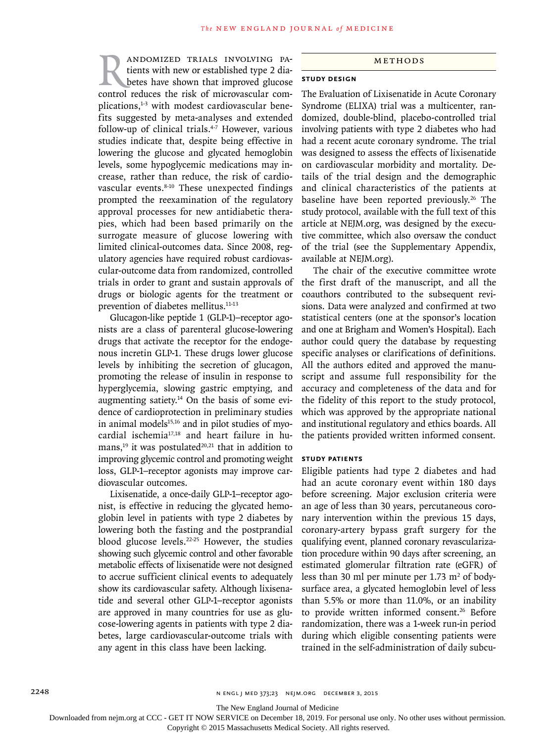RANDOMIZED TRIALS INVOLVING PA-<br>tients with new or established type 2 dia-<br>betes have shown that improved glucose<br>control reduces the risk of microvascular comtients with new or established type 2 diabetes have shown that improved glucose plications,<sup>1-3</sup> with modest cardiovascular benefits suggested by meta-analyses and extended follow-up of clinical trials.4-7 However, various studies indicate that, despite being effective in lowering the glucose and glycated hemoglobin levels, some hypoglycemic medications may increase, rather than reduce, the risk of cardiovascular events.<sup>8-10</sup> These unexpected findings prompted the reexamination of the regulatory approval processes for new antidiabetic therapies, which had been based primarily on the surrogate measure of glucose lowering with limited clinical-outcomes data. Since 2008, regulatory agencies have required robust cardiovascular-outcome data from randomized, controlled trials in order to grant and sustain approvals of drugs or biologic agents for the treatment or prevention of diabetes mellitus.<sup>11-13</sup>

Glucagon-like peptide 1 (GLP-1)–receptor agonists are a class of parenteral glucose-lowering drugs that activate the receptor for the endogenous incretin GLP-1. These drugs lower glucose levels by inhibiting the secretion of glucagon, promoting the release of insulin in response to hyperglycemia, slowing gastric emptying, and augmenting satiety.14 On the basis of some evidence of cardioprotection in preliminary studies in animal models $15,16$  and in pilot studies of myocardial ischemia17,18 and heart failure in humans,<sup>19</sup> it was postulated<sup>20,21</sup> that in addition to improving glycemic control and promoting weight loss, GLP-1–receptor agonists may improve cardiovascular outcomes.

Lixisenatide, a once-daily GLP-1–receptor agonist, is effective in reducing the glycated hemoglobin level in patients with type 2 diabetes by lowering both the fasting and the postprandial blood glucose levels.<sup>22-25</sup> However, the studies showing such glycemic control and other favorable metabolic effects of lixisenatide were not designed to accrue sufficient clinical events to adequately show its cardiovascular safety. Although lixisenatide and several other GLP-1–receptor agonists are approved in many countries for use as glucose-lowering agents in patients with type 2 diabetes, large cardiovascular-outcome trials with any agent in this class have been lacking.

## Methods

# **Study Design**

The Evaluation of Lixisenatide in Acute Coronary Syndrome (ELIXA) trial was a multicenter, randomized, double-blind, placebo-controlled trial involving patients with type 2 diabetes who had had a recent acute coronary syndrome. The trial was designed to assess the effects of lixisenatide on cardiovascular morbidity and mortality. Details of the trial design and the demographic and clinical characteristics of the patients at baseline have been reported previously.<sup>26</sup> The study protocol, available with the full text of this article at NEJM.org, was designed by the executive committee, which also oversaw the conduct of the trial (see the Supplementary Appendix, available at NEJM.org).

The chair of the executive committee wrote the first draft of the manuscript, and all the coauthors contributed to the subsequent revisions. Data were analyzed and confirmed at two statistical centers (one at the sponsor's location and one at Brigham and Women's Hospital). Each author could query the database by requesting specific analyses or clarifications of definitions. All the authors edited and approved the manuscript and assume full responsibility for the accuracy and completeness of the data and for the fidelity of this report to the study protocol, which was approved by the appropriate national and institutional regulatory and ethics boards. All the patients provided written informed consent.

### **Study Patients**

Eligible patients had type 2 diabetes and had had an acute coronary event within 180 days before screening. Major exclusion criteria were an age of less than 30 years, percutaneous coronary intervention within the previous 15 days, coronary-artery bypass graft surgery for the qualifying event, planned coronary revascularization procedure within 90 days after screening, an estimated glomerular filtration rate (eGFR) of less than 30 ml per minute per  $1.73 \text{ m}^2$  of bodysurface area, a glycated hemoglobin level of less than 5.5% or more than 11.0%, or an inability to provide written informed consent.<sup>26</sup> Before randomization, there was a 1-week run-in period during which eligible consenting patients were trained in the self-administration of daily subcu-

The New England Journal of Medicine

Downloaded from nejm.org at CCC - GET IT NOW SERVICE on December 18, 2019. For personal use only. No other uses without permission.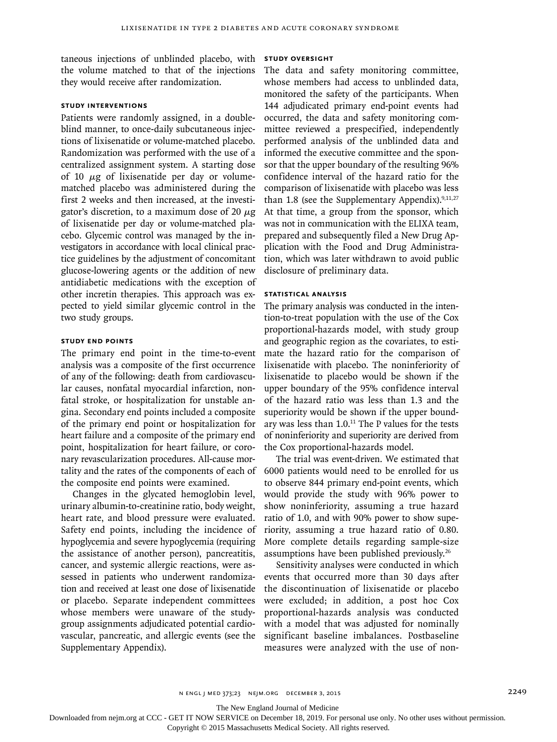taneous injections of unblinded placebo, with STUDY OVERSIGHT the volume matched to that of the injections they would receive after randomization.

# **Study Interventions**

Patients were randomly assigned, in a doubleblind manner, to once-daily subcutaneous injections of lixisenatide or volume-matched placebo. Randomization was performed with the use of a centralized assignment system. A starting dose of 10  $\mu$ g of lixisenatide per day or volumematched placebo was administered during the first 2 weeks and then increased, at the investigator's discretion, to a maximum dose of 20  $\mu$ g of lixisenatide per day or volume-matched placebo. Glycemic control was managed by the investigators in accordance with local clinical practice guidelines by the adjustment of concomitant glucose-lowering agents or the addition of new antidiabetic medications with the exception of other incretin therapies. This approach was expected to yield similar glycemic control in the two study groups.

# **Study End Points**

The primary end point in the time-to-event analysis was a composite of the first occurrence of any of the following: death from cardiovascular causes, nonfatal myocardial infarction, nonfatal stroke, or hospitalization for unstable angina. Secondary end points included a composite of the primary end point or hospitalization for heart failure and a composite of the primary end point, hospitalization for heart failure, or coronary revascularization procedures. All-cause mortality and the rates of the components of each of 6000 patients would need to be enrolled for us the composite end points were examined.

Changes in the glycated hemoglobin level, urinary albumin-to-creatinine ratio, body weight, heart rate, and blood pressure were evaluated. Safety end points, including the incidence of hypoglycemia and severe hypoglycemia (requiring the assistance of another person), pancreatitis, cancer, and systemic allergic reactions, were assessed in patients who underwent randomization and received at least one dose of lixisenatide or placebo. Separate independent committees whose members were unaware of the studygroup assignments adjudicated potential cardiovascular, pancreatic, and allergic events (see the Supplementary Appendix).

The data and safety monitoring committee, whose members had access to unblinded data, monitored the safety of the participants. When 144 adjudicated primary end-point events had occurred, the data and safety monitoring committee reviewed a prespecified, independently performed analysis of the unblinded data and informed the executive committee and the sponsor that the upper boundary of the resulting 96% confidence interval of the hazard ratio for the comparison of lixisenatide with placebo was less than 1.8 (see the Supplementary Appendix). $9,11,27$ At that time, a group from the sponsor, which was not in communication with the ELIXA team, prepared and subsequently filed a New Drug Application with the Food and Drug Administration, which was later withdrawn to avoid public disclosure of preliminary data.

# **Statistical Analysis**

The primary analysis was conducted in the intention-to-treat population with the use of the Cox proportional-hazards model, with study group and geographic region as the covariates, to estimate the hazard ratio for the comparison of lixisenatide with placebo. The noninferiority of lixisenatide to placebo would be shown if the upper boundary of the 95% confidence interval of the hazard ratio was less than 1.3 and the superiority would be shown if the upper boundary was less than 1.0.11 The P values for the tests of noninferiority and superiority are derived from the Cox proportional-hazards model.

The trial was event-driven. We estimated that to observe 844 primary end-point events, which would provide the study with 96% power to show noninferiority, assuming a true hazard ratio of 1.0, and with 90% power to show superiority, assuming a true hazard ratio of 0.80. More complete details regarding sample-size assumptions have been published previously.26

Sensitivity analyses were conducted in which events that occurred more than 30 days after the discontinuation of lixisenatide or placebo were excluded; in addition, a post hoc Cox proportional-hazards analysis was conducted with a model that was adjusted for nominally significant baseline imbalances. Postbaseline measures were analyzed with the use of non-

n engl j med 373;23 nejm.org December 3, 2015 2249

The New England Journal of Medicine

Downloaded from nejm.org at CCC - GET IT NOW SERVICE on December 18, 2019. For personal use only. No other uses without permission.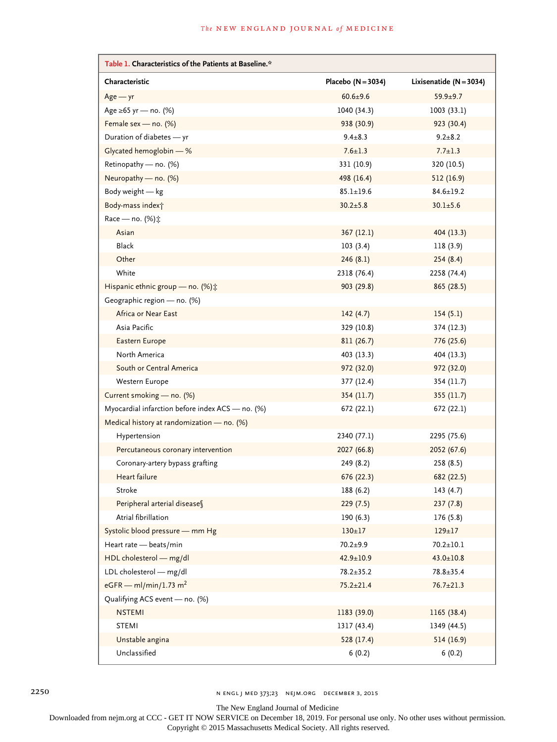| Table 1. Characteristics of the Patients at Baseline.* |                      |                           |
|--------------------------------------------------------|----------------------|---------------------------|
| Characteristic                                         | Placebo $(N = 3034)$ | Lixisenatide $(N = 3034)$ |
| $Age - yr$                                             | $60.6 \pm 9.6$       | $59.9 + 9.7$              |
| Age ≥65 yr — no. (%)                                   | 1040 (34.3)          | 1003(33.1)                |
| Female sex - no. (%)                                   | 938 (30.9)           | 923 (30.4)                |
| Duration of diabetes - yr                              | $9.4 \pm 8.3$        | $9.2 \pm 8.2$             |
| Glycated hemoglobin - %                                | $7.6 \pm 1.3$        | $7.7 \pm 1.3$             |
| Retinopathy - no. (%)                                  | 331 (10.9)           | 320 (10.5)                |
| Neuropathy - no. (%)                                   | 498 (16.4)           | 512 (16.9)                |
| Body weight - kg                                       | $85.1 \pm 19.6$      | $84.6 \pm 19.2$           |
| Body-mass indext                                       | $30.2 \pm 5.8$       | $30.1 \pm 5.6$            |
| Race - no. (%):                                        |                      |                           |
| Asian                                                  | 367 (12.1)           | 404(13.3)                 |
| <b>Black</b>                                           | 103(3.4)             | 118(3.9)                  |
| Other                                                  | 246(8.1)             | 254(8.4)                  |
| White                                                  | 2318 (76.4)          | 2258 (74.4)               |
| Hispanic ethnic group - no. (%) :                      | 903 (29.8)           | 865 (28.5)                |
| Geographic region - no. (%)                            |                      |                           |
| Africa or Near East                                    | 142(4.7)             | 154(5.1)                  |
| Asia Pacific                                           | 329 (10.8)           | 374 (12.3)                |
| Eastern Europe                                         | 811 (26.7)           | 776 (25.6)                |
| North America                                          | 403 (13.3)           | 404 (13.3)                |
| South or Central America                               | 972 (32.0)           | 972 (32.0)                |
| Western Europe                                         | 377 (12.4)           | 354 (11.7)                |
| Current smoking - no. (%)                              | 354 (11.7)           | 355(11.7)                 |
| Myocardial infarction before index ACS - no. (%)       | 672 (22.1)           | 672 (22.1)                |
| Medical history at randomization - no. (%)             |                      |                           |
| Hypertension                                           | 2340 (77.1)          | 2295 (75.6)               |
| Percutaneous coronary intervention                     | 2027 (66.8)          | 2052 (67.6)               |
| Coronary-artery bypass grafting                        | 249 (8.2)            | 258 (8.5)                 |
| Heart failure                                          | 676 (22.3)           | 682 (22.5)                |
| Stroke                                                 | 188 (6.2)            | 143(4.7)                  |
| Peripheral arterial diseases                           | 229(7.5)             | 237(7.8)                  |
| Atrial fibrillation                                    | 190(6.3)             | 176(5.8)                  |
| Systolic blood pressure - mm Hg                        | $130 \pm 17$         | $129 \pm 17$              |
| Heart rate - beats/min                                 | $70.2 + 9.9$         | $70.2 \pm 10.1$           |
| HDL cholesterol - mg/dl                                | $42.9 \pm 10.9$      | $43.0 \pm 10.8$           |
| LDL cholesterol - mg/dl                                | $78.2 \pm 35.2$      | $78.8 \pm 35.4$           |
| eGFR - ml/min/1.73 m <sup>2</sup>                      | $75.2 \pm 21.4$      | $76.7 \pm 21.3$           |
| Qualifying ACS event - no. (%)                         |                      |                           |
| <b>NSTEMI</b>                                          | 1183 (39.0)          | 1165 (38.4)               |
| <b>STEMI</b>                                           | 1317 (43.4)          | 1349 (44.5)               |
| Unstable angina                                        | 528 (17.4)           | 514 (16.9)                |
| Unclassified                                           | 6(0.2)               | 6(0.2)                    |

2250 n engl j med 373;23 nejm.org December 3, 2015

The New England Journal of Medicine

Downloaded from nejm.org at CCC - GET IT NOW SERVICE on December 18, 2019. For personal use only. No other uses without permission.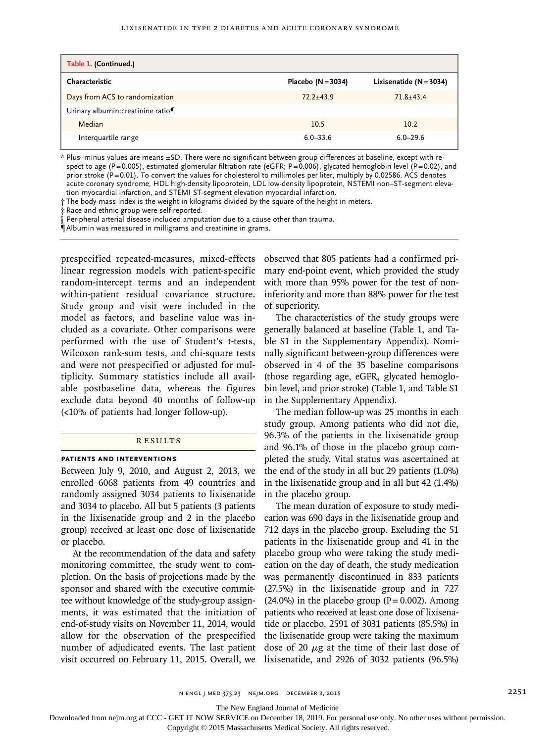| Table 1. (Continued.)             |                      |                           |
|-----------------------------------|----------------------|---------------------------|
| Characteristic                    | Placebo $(N = 3034)$ | Lixisenatide $(N = 3034)$ |
| Days from ACS to randomization    | $72.2 + 43.9$        | $71.8 + 43.4$             |
| Urinary albumin: creatinine ratio |                      |                           |
| Median                            | 10.5                 | 10.2                      |
| Interquartile range               | $6.0 - 33.6$         | $6.0 - 29.6$              |

\* Plus–minus values are means ±SD. There were no significant between-group differences at baseline, except with respect to age (P=0.005), estimated glomerular filtration rate (eGFR; P=0.006), glycated hemoglobin level (P=0.02), and prior stroke (P=0.01). To convert the values for cholesterol to millimoles per liter, multiply by 0.02586. ACS denotes acute coronary syndrome, HDL high-density lipoprotein, LDL low-density lipoprotein, NSTEMI non–ST-segment elevation myocardial infarction, and STEMI ST-segment elevation myocardial infarction.

† The body-mass index is the weight in kilograms divided by the square of the height in meters.

‡ Race and ethnic group were self-reported.

§ Peripheral arterial disease included amputation due to a cause other than trauma.

¶ Albumin was measured in milligrams and creatinine in grams.

prespecified repeated-measures, mixed-effects linear regression models with patient-specific random-intercept terms and an independent within-patient residual covariance structure. Study group and visit were included in the model as factors, and baseline value was included as a covariate. Other comparisons were performed with the use of Student's t-tests, Wilcoxon rank-sum tests, and chi-square tests and were not prespecified or adjusted for multiplicity. Summary statistics include all available postbaseline data, whereas the figures exclude data beyond 40 months of follow-up (<10% of patients had longer follow-up).

# **RESULTS**

# **Patients and Interventions**

Between July 9, 2010, and August 2, 2013, we enrolled 6068 patients from 49 countries and randomly assigned 3034 patients to lixisenatide and 3034 to placebo. All but 5 patients (3 patients in the lixisenatide group and 2 in the placebo group) received at least one dose of lixisenatide or placebo.

At the recommendation of the data and safety monitoring committee, the study went to completion. On the basis of projections made by the sponsor and shared with the executive committee without knowledge of the study-group assignments, it was estimated that the initiation of end-of-study visits on November 11, 2014, would allow for the observation of the prespecified number of adjudicated events. The last patient visit occurred on February 11, 2015. Overall, we lixisenatide, and 2926 of 3032 patients (96.5%)

observed that 805 patients had a confirmed primary end-point event, which provided the study with more than 95% power for the test of noninferiority and more than 88% power for the test of superiority.

The characteristics of the study groups were generally balanced at baseline (Table 1, and Table S1 in the Supplementary Appendix). Nominally significant between-group differences were observed in 4 of the 35 baseline comparisons (those regarding age, eGFR, glycated hemoglobin level, and prior stroke) (Table 1, and Table S1 in the Supplementary Appendix).

The median follow-up was 25 months in each study group. Among patients who did not die, 96.3% of the patients in the lixisenatide group and 96.1% of those in the placebo group completed the study. Vital status was ascertained at the end of the study in all but 29 patients (1.0%) in the lixisenatide group and in all but 42 (1.4%) in the placebo group.

The mean duration of exposure to study medication was 690 days in the lixisenatide group and 712 days in the placebo group. Excluding the 51 patients in the lixisenatide group and 41 in the placebo group who were taking the study medication on the day of death, the study medication was permanently discontinued in 833 patients (27.5%) in the lixisenatide group and in 727  $(24.0\%)$  in the placebo group (P= 0.002). Among patients who received at least one dose of lixisenatide or placebo, 2591 of 3031 patients (85.5%) in the lixisenatide group were taking the maximum dose of 20  $\mu$ g at the time of their last dose of

The New England Journal of Medicine

Downloaded from nejm.org at CCC - GET IT NOW SERVICE on December 18, 2019. For personal use only. No other uses without permission.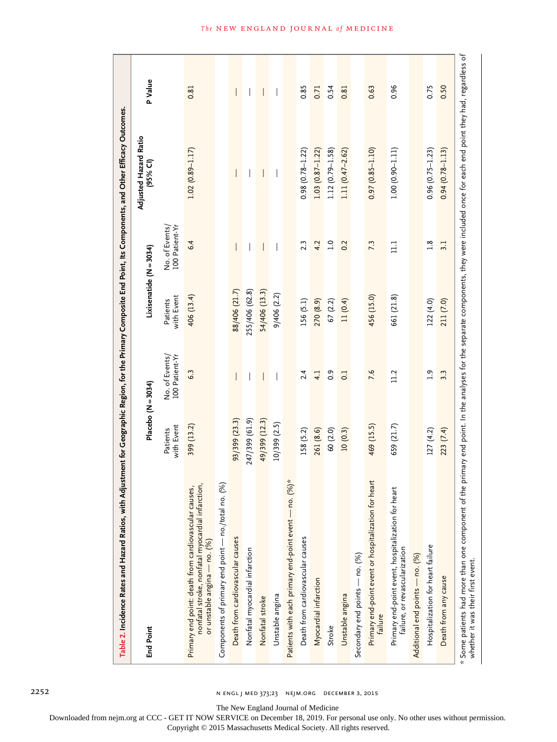| Table 2. Incidence Rates and Hazard Ratios, with Adjustment for Geographic Region, for the Primary Composite End Point, Its Components, and Other Efficacy Outcomes.                                                       |                        |                                  |                        |                                  |                                     |                          |
|----------------------------------------------------------------------------------------------------------------------------------------------------------------------------------------------------------------------------|------------------------|----------------------------------|------------------------|----------------------------------|-------------------------------------|--------------------------|
| <b>End Point</b>                                                                                                                                                                                                           | Placebo (N = 3034)     |                                  |                        | Lixisenatide (N = 3034)          | Adjusted Hazard Ratio<br>$(95%$ CI) | P Value                  |
|                                                                                                                                                                                                                            | with Event<br>Patients | No. of Events/<br>100 Patient-Yr | with Event<br>Patients | No. of Events/<br>100 Patient-Yr |                                     |                          |
| nonfatal stroke, nonfatal myocardial infarction,<br>Primary end point: death from cardiovascular causes,<br>or unstable angina — no. (%)                                                                                   | 399 (13.2)             | 6.3                              | 406 (13.4)             | 6.4                              | $1.02(0.89 - 1.17)$                 | 0.81                     |
| $\mathcal{S}$<br>Components of primary end point - no./total no.                                                                                                                                                           |                        |                                  |                        |                                  |                                     |                          |
| Death from cardiovascular causes                                                                                                                                                                                           | 93/399 (23.3)          |                                  | 88/406 (21.7)          | I                                |                                     | $\overline{\phantom{a}}$ |
| Nonfatal myocardial infarction                                                                                                                                                                                             | 247/399 (61.9)         |                                  | 255/406 (62.8)         |                                  |                                     |                          |
| Nonfatal stroke                                                                                                                                                                                                            | 49/399 (12.3)          |                                  | 54/406 (13.3)          |                                  |                                     | $\overline{\phantom{a}}$ |
| Unstable angina                                                                                                                                                                                                            | 10/399 (2.5)           |                                  | 9/406(2.2)             |                                  |                                     |                          |
| $*(96)$ *<br>Patients with each primary end-point event - no. ('                                                                                                                                                           |                        |                                  |                        |                                  |                                     |                          |
| Death from cardiovascular causes                                                                                                                                                                                           | 158 (5.2)              | 2.4                              | 156 (5.1)              | 2.3                              | $0.98$ $(0.78 - 1.22)$              | 0.85                     |
| Myocardial infarction                                                                                                                                                                                                      | 261 (8.6)              | 4.1                              | 270 (8.9)              | 4.2                              | $1.03$ $(0.87 - 1.22)$              | 0.71                     |
| Stroke                                                                                                                                                                                                                     | 60 (2.0)               | $\overline{0}$ .                 | 67 (2.2)               | $\overline{1.0}$                 | $1.12(0.79 - 1.58)$                 | 0.54                     |
| Unstable angina                                                                                                                                                                                                            | 10(0.3)                | $\overline{0}$                   | 11(0.4)                | 0.2                              | $1.11(0.47 - 2.62)$                 | 0.81                     |
| Secondary end points - no. (%)                                                                                                                                                                                             |                        |                                  |                        |                                  |                                     |                          |
| Primary end-point event or hospitalization for heart<br>failure                                                                                                                                                            | 469 (15.5)             | 7.6                              | 456 (15.0)             | 7.3                              | $0.97(0.85 - 1.10)$                 | 0.63                     |
| ť<br>Primary end-point event, hospitalization for hea<br>failure, or revascularization                                                                                                                                     | 659 (21.7)             | 11.2                             | 661 (21.8)             | $\Xi$                            | $1.00(0.90 - 1.11)$                 | 0.96                     |
| Additional end points - no. (%)                                                                                                                                                                                            |                        |                                  |                        |                                  |                                     |                          |
| Hospitalization for heart failure                                                                                                                                                                                          | 127(4.2)               | $\overline{0}$                   | 122(4.0)               | $\frac{8}{1}$                    | $0.96$ (0.75-1.23)                  | 0.75                     |
| Death from any cause                                                                                                                                                                                                       | 223 (7.4)              | 3.3                              | 211 (7.0)              | 3.1                              | $0.94(0.78 - 1.13)$                 | 0.50                     |
| * Some patients had more than one component of the primary end point. In the analyses for the separate components, they were included once for each end point they had, regardless of<br>whether it was their first event. |                        |                                  |                        |                                  |                                     |                          |

2252 n engl j med 373;23 nejm.org December 3, 2015

The New England Journal of Medicine

Downloaded from nejm.org at CCC - GET IT NOW SERVICE on December 18, 2019. For personal use only. No other uses without permission.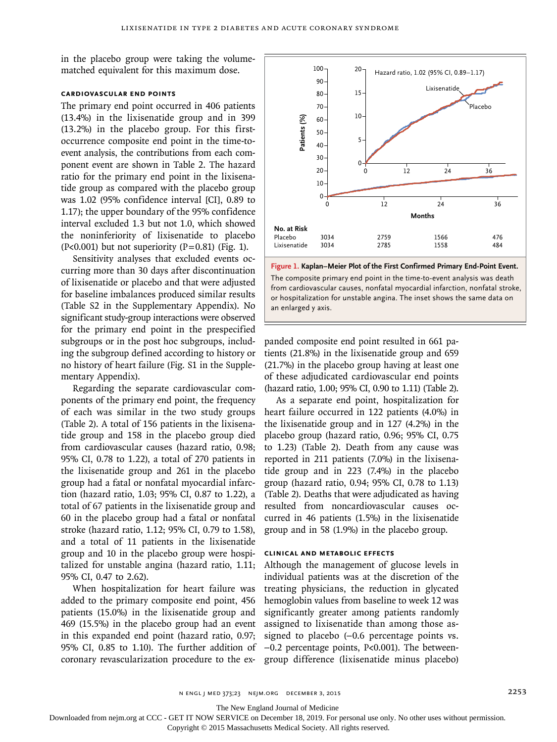in the placebo group were taking the volumematched equivalent for this maximum dose.

# **Cardiovascular End Points**

The primary end point occurred in 406 patients (13.4%) in the lixisenatide group and in 399 (13.2%) in the placebo group. For this firstoccurrence composite end point in the time-toevent analysis, the contributions from each component event are shown in Table 2. The hazard ratio for the primary end point in the lixisenatide group as compared with the placebo group was 1.02 (95% confidence interval [CI], 0.89 to 1.17); the upper boundary of the 95% confidence interval excluded 1.3 but not 1.0, which showed the noninferiority of lixisenatide to placebo  $(P<0.001)$  but not superiority  $(P=0.81)$  (Fig. 1).

Sensitivity analyses that excluded events occurring more than 30 days after discontinuation of lixisenatide or placebo and that were adjusted for baseline imbalances produced similar results (Table S2 in the Supplementary Appendix). No significant study-group interactions were observed for the primary end point in the prespecified subgroups or in the post hoc subgroups, including the subgroup defined according to history or no history of heart failure (Fig. S1 in the Supplementary Appendix).

Regarding the separate cardiovascular components of the primary end point, the frequency of each was similar in the two study groups (Table 2). A total of 156 patients in the lixisenatide group and 158 in the placebo group died from cardiovascular causes (hazard ratio, 0.98; 95% CI, 0.78 to 1.22), a total of 270 patients in the lixisenatide group and 261 in the placebo group had a fatal or nonfatal myocardial infarction (hazard ratio, 1.03; 95% CI, 0.87 to 1.22), a total of 67 patients in the lixisenatide group and 60 in the placebo group had a fatal or nonfatal stroke (hazard ratio, 1.12; 95% CI, 0.79 to 1.58), and a total of 11 patients in the lixisenatide group and 10 in the placebo group were hospitalized for unstable angina (hazard ratio, 1.11; 95% CI, 0.47 to 2.62).

When hospitalization for heart failure was added to the primary composite end point, 456 patients (15.0%) in the lixisenatide group and 469 (15.5%) in the placebo group had an event in this expanded end point (hazard ratio, 0.97; 95% CI, 0.85 to 1.10). The further addition of coronary revascularization procedure to the ex-



**Figure 1. Kaplan–Meier Plot of the First Confirmed Primary End-Point Event.** The composite primary end point in the time-to-event analysis was death from cardiovascular causes, nonfatal myocardial infarction, nonfatal stroke, or hospitalization for unstable angina. The inset shows the same data on

panded composite end point resulted in 661 patients (21.8%) in the lixisenatide group and 659 (21.7%) in the placebo group having at least one of these adjudicated cardiovascular end points (hazard ratio, 1.00; 95% CI, 0.90 to 1.11) (Table 2).

As a separate end point, hospitalization for heart failure occurred in 122 patients (4.0%) in the lixisenatide group and in 127 (4.2%) in the placebo group (hazard ratio, 0.96; 95% CI, 0.75 to 1.23) (Table 2). Death from any cause was reported in 211 patients (7.0%) in the lixisenatide group and in 223 (7.4%) in the placebo group (hazard ratio, 0.94; 95% CI, 0.78 to 1.13) (Table 2). Deaths that were adjudicated as having resulted from noncardiovascular causes occurred in 46 patients (1.5%) in the lixisenatide group and in 58 (1.9%) in the placebo group.

### **Clinical and Metabolic Effects**

Although the management of glucose levels in individual patients was at the discretion of the treating physicians, the reduction in glycated hemoglobin values from baseline to week 12 was significantly greater among patients randomly assigned to lixisenatide than among those assigned to placebo (-0.6 percentage points vs. −0.2 percentage points, P<0.001). The betweengroup difference (lixisenatide minus placebo)

The New England Journal of Medicine

Downloaded from nejm.org at CCC - GET IT NOW SERVICE on December 18, 2019. For personal use only. No other uses without permission.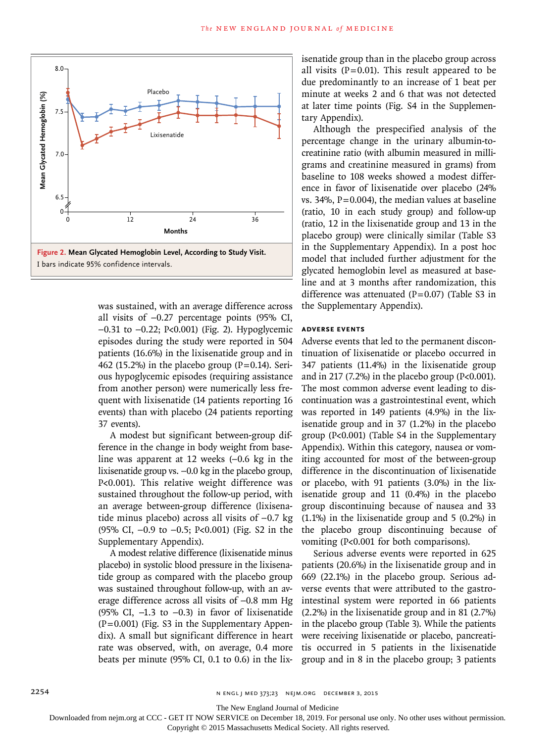

was sustained, with an average difference across all visits of −0.27 percentage points (95% CI, −0.31 to −0.22; P<0.001) (Fig. 2). Hypoglycemic episodes during the study were reported in 504 patients (16.6%) in the lixisenatide group and in 462 (15.2%) in the placebo group ( $P=0.14$ ). Serious hypoglycemic episodes (requiring assistance from another person) were numerically less frequent with lixisenatide (14 patients reporting 16 events) than with placebo (24 patients reporting 37 events).

A modest but significant between-group difference in the change in body weight from baseline was apparent at 12 weeks (−0.6 kg in the lixisenatide group vs. −0.0 kg in the placebo group, P<0.001). This relative weight difference was sustained throughout the follow-up period, with an average between-group difference (lixisenatide minus placebo) across all visits of −0.7 kg (95% CI, −0.9 to −0.5; P<0.001) (Fig. S2 in the Supplementary Appendix).

A modest relative difference (lixisenatide minus placebo) in systolic blood pressure in the lixisenatide group as compared with the placebo group was sustained throughout follow-up, with an average difference across all visits of −0.8 mm Hg (95% CI, −1.3 to −0.3) in favor of lixisenatide  $(P=0.001)$  (Fig. S3 in the Supplementary Appendix). A small but significant difference in heart rate was observed, with, on average, 0.4 more beats per minute (95% CI, 0.1 to 0.6) in the lixisenatide group than in the placebo group across all visits  $(P=0.01)$ . This result appeared to be due predominantly to an increase of 1 beat per minute at weeks 2 and 6 that was not detected at later time points (Fig. S4 in the Supplementary Appendix).

Although the prespecified analysis of the percentage change in the urinary albumin-tocreatinine ratio (with albumin measured in milligrams and creatinine measured in grams) from baseline to 108 weeks showed a modest difference in favor of lixisenatide over placebo (24% vs. 34%,  $P=0.004$ ), the median values at baseline (ratio, 10 in each study group) and follow-up (ratio, 12 in the lixisenatide group and 13 in the placebo group) were clinically similar (Table S3 in the Supplementary Appendix). In a post hoc model that included further adjustment for the glycated hemoglobin level as measured at baseline and at 3 months after randomization, this difference was attenuated  $(P=0.07)$  (Table S3 in the Supplementary Appendix).

# **Adverse Events**

Adverse events that led to the permanent discontinuation of lixisenatide or placebo occurred in 347 patients (11.4%) in the lixisenatide group and in 217 (7.2%) in the placebo group ( $P<0.001$ ). The most common adverse event leading to discontinuation was a gastrointestinal event, which was reported in 149 patients (4.9%) in the lixisenatide group and in 37 (1.2%) in the placebo group (P<0.001) (Table S4 in the Supplementary Appendix). Within this category, nausea or vomiting accounted for most of the between-group difference in the discontinuation of lixisenatide or placebo, with 91 patients (3.0%) in the lixisenatide group and 11 (0.4%) in the placebo group discontinuing because of nausea and 33 (1.1%) in the lixisenatide group and 5 (0.2%) in the placebo group discontinuing because of vomiting (P<0.001 for both comparisons).

Serious adverse events were reported in 625 patients (20.6%) in the lixisenatide group and in 669 (22.1%) in the placebo group. Serious adverse events that were attributed to the gastrointestinal system were reported in 66 patients (2.2%) in the lixisenatide group and in 81 (2.7%) in the placebo group (Table 3). While the patients were receiving lixisenatide or placebo, pancreatitis occurred in 5 patients in the lixisenatide group and in 8 in the placebo group; 3 patients

The New England Journal of Medicine

Downloaded from nejm.org at CCC - GET IT NOW SERVICE on December 18, 2019. For personal use only. No other uses without permission.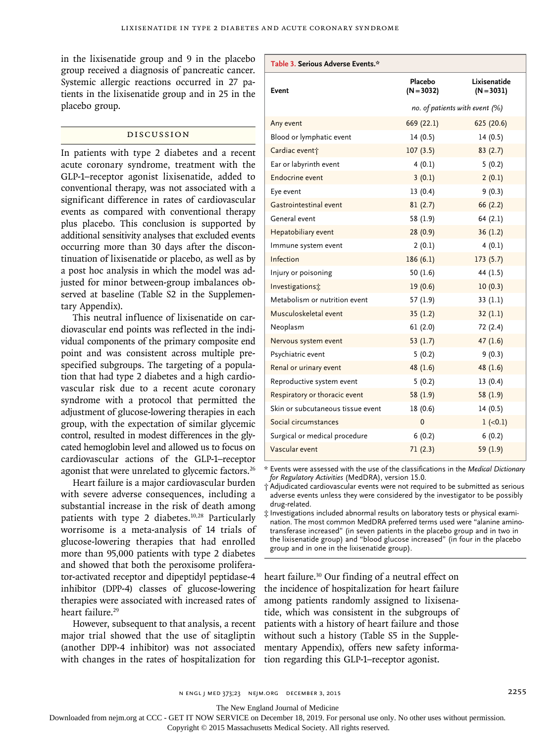in the lixisenatide group and 9 in the placebo group received a diagnosis of pancreatic cancer. Systemic allergic reactions occurred in 27 patients in the lixisenatide group and in 25 in the placebo group.

# Discussion

In patients with type 2 diabetes and a recent acute coronary syndrome, treatment with the GLP-1–receptor agonist lixisenatide, added to conventional therapy, was not associated with a significant difference in rates of cardiovascular events as compared with conventional therapy plus placebo. This conclusion is supported by additional sensitivity analyses that excluded events occurring more than 30 days after the discontinuation of lixisenatide or placebo, as well as by a post hoc analysis in which the model was adjusted for minor between-group imbalances observed at baseline (Table S2 in the Supplementary Appendix).

This neutral influence of lixisenatide on cardiovascular end points was reflected in the individual components of the primary composite end point and was consistent across multiple prespecified subgroups. The targeting of a population that had type 2 diabetes and a high cardiovascular risk due to a recent acute coronary syndrome with a protocol that permitted the adjustment of glucose-lowering therapies in each group, with the expectation of similar glycemic control, resulted in modest differences in the glycated hemoglobin level and allowed us to focus on cardiovascular actions of the GLP-1–receptor agonist that were unrelated to glycemic factors.<sup>26</sup>

Heart failure is a major cardiovascular burden with severe adverse consequences, including a substantial increase in the risk of death among patients with type 2 diabetes.<sup>10,28</sup> Particularly worrisome is a meta-analysis of 14 trials of glucose-lowering therapies that had enrolled more than 95,000 patients with type 2 diabetes and showed that both the peroxisome proliferator-activated receptor and dipeptidyl peptidase-4 inhibitor (DPP-4) classes of glucose-lowering therapies were associated with increased rates of heart failure.29

However, subsequent to that analysis, a recent major trial showed that the use of sitagliptin (another DPP-4 inhibitor) was not associated with changes in the rates of hospitalization for

| Table 3. Serious Adverse Events.* |                                  |                              |  |
|-----------------------------------|----------------------------------|------------------------------|--|
| Event                             | Placebo<br>$(N = 3032)$          | Lixisenatide<br>$(N = 3031)$ |  |
|                                   | no. of patients with event $(%)$ |                              |  |
| Any event                         | 669 (22.1)                       | 625 (20.6)                   |  |
| Blood or lymphatic event          | 14(0.5)                          | 14(0.5)                      |  |
| Cardiac event <sup>+</sup>        | 107(3.5)                         | 83(2.7)                      |  |
| Ear or labyrinth event            | 4(0.1)                           | 5(0.2)                       |  |
| <b>Endocrine event</b>            | 3(0.1)                           | 2(0.1)                       |  |
| Eye event                         | 13(0.4)                          | 9(0.3)                       |  |
| Gastrointestinal event            | 81(2.7)                          | 66(2.2)                      |  |
| General event                     | 58 (1.9)                         | 64(2.1)                      |  |
| Hepatobiliary event               | 28(0.9)                          | 36(1.2)                      |  |
| Immune system event               | 2(0.1)                           | 4(0.1)                       |  |
| Infection                         | 186(6.1)                         | 173(5.7)                     |  |
| Injury or poisoning               | 50(1.6)                          | 44 (1.5)                     |  |
| Investigations:                   | 19(0.6)                          | 10(0.3)                      |  |
| Metabolism or nutrition event     | 57 (1.9)                         | 33(1.1)                      |  |
| Musculoskeletal event             | 35(1.2)                          | 32(1.1)                      |  |
| Neoplasm                          | 61(2.0)                          | 72 (2.4)                     |  |
| Nervous system event              | 53 $(1.7)$                       | 47(1.6)                      |  |
| Psychiatric event                 | 5(0.2)                           | 9(0.3)                       |  |
| Renal or urinary event            | 48 (1.6)                         | 48 (1.6)                     |  |
| Reproductive system event         | 5(0.2)                           | 13(0.4)                      |  |
| Respiratory or thoracic event     | 58(1.9)                          | 58(1.9)                      |  |
| Skin or subcutaneous tissue event | 18 (0.6)                         | 14(0.5)                      |  |
| Social circumstances              | $\mathbf 0$                      | $1 (-0.1)$                   |  |
| Surgical or medical procedure     | 6(0.2)                           | 6(0.2)                       |  |
| Vascular event                    | 71(2.3)                          | 59 (1.9)                     |  |

\* Events were assessed with the use of the classifications in the *Medical Dictionary for Regulatory Activities* (MedDRA), version 15.0.

† Adjudicated cardiovascular events were not required to be submitted as serious adverse events unless they were considered by the investigator to be possibly drug-related.

‡ Investigations included abnormal results on laboratory tests or physical examination. The most common MedDRA preferred terms used were "alanine aminotransferase increased" (in seven patients in the placebo group and in two in the lixisenatide group) and "blood glucose increased" (in four in the placebo group and in one in the lixisenatide group).

heart failure.<sup>30</sup> Our finding of a neutral effect on the incidence of hospitalization for heart failure among patients randomly assigned to lixisenatide, which was consistent in the subgroups of patients with a history of heart failure and those without such a history (Table S5 in the Supplementary Appendix), offers new safety information regarding this GLP-1–receptor agonist.

n engl j med 373;23 nejm.org December 3, 2015 2255

The New England Journal of Medicine

Downloaded from nejm.org at CCC - GET IT NOW SERVICE on December 18, 2019. For personal use only. No other uses without permission.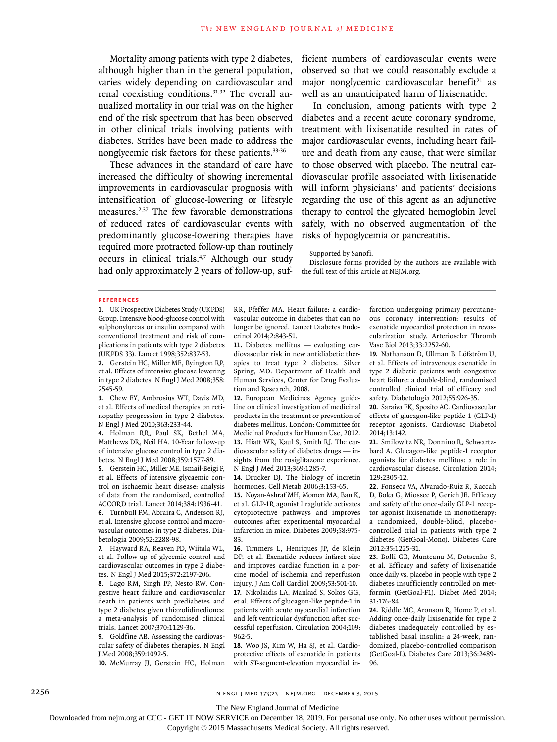Mortality among patients with type 2 diabetes, although higher than in the general population, varies widely depending on cardiovascular and renal coexisting conditions.31,32 The overall annualized mortality in our trial was on the higher end of the risk spectrum that has been observed in other clinical trials involving patients with diabetes. Strides have been made to address the nonglycemic risk factors for these patients.33-36

These advances in the standard of care have increased the difficulty of showing incremental improvements in cardiovascular prognosis with intensification of glucose-lowering or lifestyle measures.2,37 The few favorable demonstrations of reduced rates of cardiovascular events with predominantly glucose-lowering therapies have required more protracted follow-up than routinely occurs in clinical trials.4,7 Although our study had only approximately 2 years of follow-up, suf-

ficient numbers of cardiovascular events were observed so that we could reasonably exclude a major nonglycemic cardiovascular benefit $21$  as well as an unanticipated harm of lixisenatide.

In conclusion, among patients with type 2 diabetes and a recent acute coronary syndrome, treatment with lixisenatide resulted in rates of major cardiovascular events, including heart failure and death from any cause, that were similar to those observed with placebo. The neutral cardiovascular profile associated with lixisenatide will inform physicians' and patients' decisions regarding the use of this agent as an adjunctive therapy to control the glycated hemoglobin level safely, with no observed augmentation of the risks of hypoglycemia or pancreatitis.

Supported by Sanofi.

Disclosure forms provided by the authors are available with the full text of this article at NEJM.org.

### **References**

**1.** UK Prospective Diabetes Study (UKPDS) Group. Intensive blood-glucose control with sulphonylureas or insulin compared with conventional treatment and risk of complications in patients with type 2 diabetes (UKPDS 33). Lancet 1998;352:837-53.

**2.** Gerstein HC, Miller ME, Byington RP, et al. Effects of intensive glucose lowering in type 2 diabetes. N Engl J Med 2008;358: 2545-59.

**3.** Chew EY, Ambrosius WT, Davis MD, et al. Effects of medical therapies on retinopathy progression in type 2 diabetes. N Engl J Med 2010;363:233-44.

**4.** Holman RR, Paul SK, Bethel MA, Matthews DR, Neil HA. 10-Year follow-up of intensive glucose control in type 2 diabetes. N Engl J Med 2008;359:1577-89.

**5.** Gerstein HC, Miller ME, Ismail-Beigi F, et al. Effects of intensive glycaemic control on ischaemic heart disease: analysis of data from the randomised, controlled ACCORD trial. Lancet 2014;384:1936-41.

**6.** Turnbull FM, Abraira C, Anderson RJ, et al. Intensive glucose control and macrovascular outcomes in type 2 diabetes. Diabetologia 2009;52:2288-98.

**7.** Hayward RA, Reaven PD, Wiitala WL, et al. Follow-up of glycemic control and cardiovascular outcomes in type 2 diabetes. N Engl J Med 2015;372:2197-206.

**8.** Lago RM, Singh PP, Nesto RW. Congestive heart failure and cardiovascular death in patients with prediabetes and type 2 diabetes given thiazolidinediones: a meta-analysis of randomised clinical trials. Lancet 2007;370:1129-36.

**9.** Goldfine AB. Assessing the cardiovascular safety of diabetes therapies. N Engl J Med 2008;359:1092-5.

**10.** McMurray JJ, Gerstein HC, Holman

RR, Pfeffer MA. Heart failure: a cardiovascular outcome in diabetes that can no longer be ignored. Lancet Diabetes Endocrinol 2014;2:843-51.

**11.** Diabetes mellitus — evaluating cardiovascular risk in new antidiabetic therapies to treat type 2 diabetes. Silver Spring, MD: Department of Health and Human Services, Center for Drug Evaluation and Research, 2008.

**12.** European Medicines Agency guideline on clinical investigation of medicinal products in the treatment or prevention of diabetes mellitus. London: Committee for Medicinal Products for Human Use, 2012. **13.** Hiatt WR, Kaul S, Smith RJ. The cardiovascular safety of diabetes drugs — insights from the rosiglitazone experience. N Engl J Med 2013;369:1285-7.

**14.** Drucker DJ. The biology of incretin hormones. Cell Metab 2006;3:153-65.

**15.** Noyan-Ashraf MH, Momen MA, Ban K, et al. GLP-1R agonist liraglutide activates cytoprotective pathways and improves outcomes after experimental myocardial infarction in mice. Diabetes 2009;58:975- 83.

**16.** Timmers L, Henriques JP, de Kleijn DP, et al. Exenatide reduces infarct size and improves cardiac function in a porcine model of ischemia and reperfusion injury. J Am Coll Cardiol 2009;53:501-10. **17.** Nikolaidis LA, Mankad S, Sokos GG, et al. Effects of glucagon-like peptide-1 in patients with acute myocardial infarction and left ventricular dysfunction after successful reperfusion. Circulation 2004;109: 962-5.

**18.** Woo JS, Kim W, Ha SJ, et al. Cardioprotective effects of exenatide in patients with ST-segment-elevation myocardial infarction undergoing primary percutaneous coronary intervention: results of exenatide myocardial protection in revascularization study. Arterioscler Thromb Vasc Biol 2013;33:2252-60.

**19.** Nathanson D, Ullman B, Löfström U, et al. Effects of intravenous exenatide in type 2 diabetic patients with congestive heart failure: a double-blind, randomised controlled clinical trial of efficacy and safety. Diabetologia 2012;55:926-35.

**20.** Saraiva FK, Sposito AC. Cardiovascular effects of glucagon-like peptide 1 (GLP-1) receptor agonists. Cardiovasc Diabetol 2014;13:142.

**21.** Smilowitz NR, Donnino R, Schwartzbard A. Glucagon-like peptide-1 receptor agonists for diabetes mellitus: a role in cardiovascular disease. Circulation 2014; 129:2305-12.

**22.** Fonseca VA, Alvarado-Ruiz R, Raccah D, Boka G, Miossec P, Gerich JE. Efficacy and safety of the once-daily GLP-1 receptor agonist lixisenatide in monotherapy: a randomized, double-blind, placebocontrolled trial in patients with type 2 diabetes (GetGoal-Mono). Diabetes Care 2012;35:1225-31.

**23.** Bolli GB, Munteanu M, Dotsenko S, et al. Efficacy and safety of lixisenatide once daily vs. placebo in people with type 2 diabetes insufficiently controlled on metformin (GetGoal-F1). Diabet Med 2014; 31:176-84.

**24.** Riddle MC, Aronson R, Home P, et al. Adding once-daily lixisenatide for type 2 diabetes inadequately controlled by established basal insulin: a 24-week, randomized, placebo-controlled comparison (GetGoal-L). Diabetes Care 2013;36:2489- 96.

2256 n engl j med 373;23 nejm.org December 3, 2015

The New England Journal of Medicine

Downloaded from nejm.org at CCC - GET IT NOW SERVICE on December 18, 2019. For personal use only. No other uses without permission.